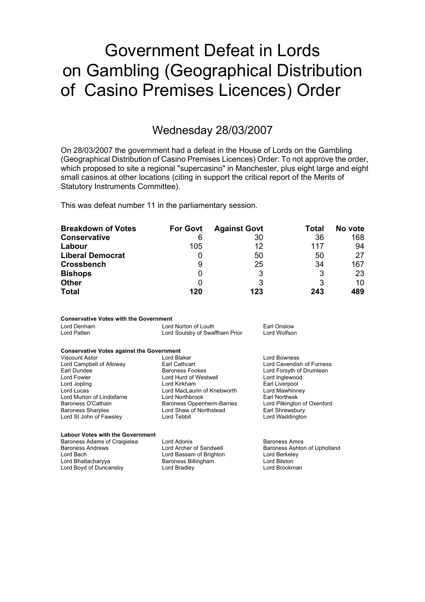# Government Defeat in Lords on Gambling (Geographical Distribution of Casino Premises Licences) Order

## Wednesday 28/03/2007

On 28/03/2007 the government had a defeat in the House of Lords on the Gambling (Geographical Distribution of Casino Premises Licences) Order: To not approve the order, which proposed to site a regional "supercasino" in Manchester, plus eight large and eight small casinos at other locations (citing in support the critical report of the Merits of Statutory Instruments Committee).

This was defeat number 11 in the parliamentary session.

| <b>Breakdown of Votes</b> | <b>For Govt</b> | <b>Against Govt</b> | Total | No vote |
|---------------------------|-----------------|---------------------|-------|---------|
| <b>Conservative</b>       | 6               | 30                  | 36    | 168     |
| Labour                    | 105             | 12                  | 117   | 94      |
| <b>Liberal Democrat</b>   |                 | 50                  | 50    | 27      |
| <b>Crossbench</b>         | 9               | 25                  | 34    | 167     |
| <b>Bishops</b>            | O               | 3                   | 3     | 23      |
| <b>Other</b>              |                 | 3                   | 3     | 10      |
| <b>Total</b>              | 120             | 123                 | 243   | 489     |

### **Conservative Votes with the Government**

| Lord Denham | Lord Norton of Louth           | Earl Onslow  |
|-------------|--------------------------------|--------------|
| Lord Patten | Lord Soulsby of Swaffham Prior | Lord Wolfson |

### **Conservative Votes against the Government**

| <b>Viscount Astor</b>      | Lord Blaker                 | <b>Lord Bowness</b>         |
|----------------------------|-----------------------------|-----------------------------|
| Lord Campbell of Alloway   | Earl Cathcart               | Lord Cavendish of Furness   |
| Earl Dundee                | <b>Baroness Fookes</b>      | Lord Forsyth of Drumlean    |
| Lord Fowler                | Lord Hurd of Westwell       | Lord Inglewood              |
| Lord Jopling               | Lord Kirkham                | Earl Liverpool              |
| Lord Lucas                 | Lord MacLaurin of Knebworth | Lord Mawhinney              |
| Lord Murton of Lindisfarne | Lord Northbrook             | Earl Northesk               |
| Baroness O'Cathain         | Baroness Oppenheim-Barnes   | Lord Pilkington of Oxenford |
| <b>Baroness Sharples</b>   | Lord Shaw of Northstead     | Earl Shrewsbury             |
| Lord St John of Fawsley    | Lord Tebbit                 | Lord Waddington             |

#### **Labour Votes with the Government** Baroness Adams of Craigielea Lord Adonis<br>Baroness Andrews Lord Archer of Sandwell Baroness Ashtoi Lord Archer of Sandwell Baroness Ashton of Upholland Lord Bach Lord Bassam of Brighton Lord Berkeley Lord Bhattacharyya Baroness Billingham Lord Bilston <br>
Lord Bovd of Duncansby Lord Bradlev Lord Brookman Lord Boyd of Duncansby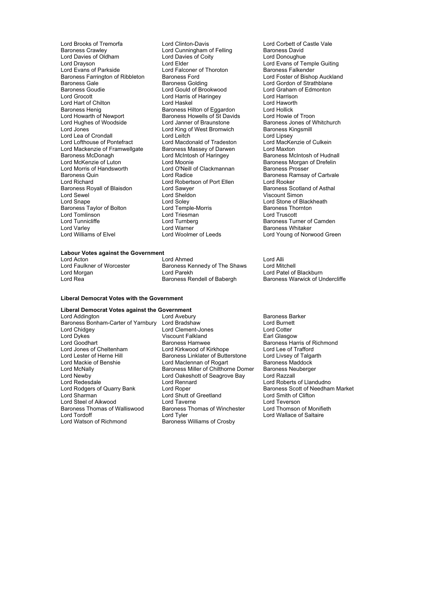Lord Brooks of Tremorfa **Lord Clinton-Davis** Lord Corbett of Castle Vale<br> **Baroness Crawley** Lord Cunningham of Felling Baroness David Lord Davies of Oldham Lord Davie<br>
Lord Dravson Lord Clare Lord Drayson **Lord Example Guiting**<br>
Lord Evans of Parkside **Lord Example Guiting**<br>
Lord Evans of Parkside **Lord Falconer of Thoroton** Baroness Falkender Baroness Farrington of Ribbleton Baroness Ford<br>Baroness Gale **Baroness** Golding Baroness Gale Baroness Golding Lord Gordon of Strathblane<br>Baroness Golding Lord Gordon of Strathblane<br>Baroness Goudie Lord Gould of Brookwood Lord Graham of Edmonton Lord Grocott Lord Harris of Haringey Lord Harrison Lord Hart of Chilton<br>Baroness Henig Baroness Henig<br>Baroness Henig Baroness Hilton of Eggardon Lord Hollick<br>Lord Howarth of Newport Baroness Howells of St Davids Lord Howie of Troon Lord Howarth of Newport Baroness Howells of St Davids<br>
Lord Hughes of Woodside Lord Janner of Braunstone Lord Hughes of Woodside Lord Janner of Braunstone Baroness Jones of Whitchurch<br>Lord Jones Lord King of West Bromwich Baroness Kingsmill Lord Lea of Crondall **Lord Leitch** Lord Leitch Lord Lipsey<br>
Lord Lofthouse of Pontefract Lord Macdonald of Tradeston Lord MacKenzie of Culkein Lord Mackenzie of Framwellgate<br>Baroness McDonagh Baroness McDonagh Lord McIntosh of Haringey<br>
Lord McIntosh of Haringey Baroness McIntosh of Hudnall<br>
Lord McKenzie of Luton Lord Moonie Baroness Morgan of Drefelin Lord McKenzie of Luton Lord Moonie Corress Morgan of Drefelin<br>
Lord Morris of Handsworth Lord O'Neill of Clackmannan Baroness Prosser Lord Morris of Handsworth Lord O'Neill of Clackmannan Baroness Quin<br>Baroness Quin Lord Richard Lord Robertson of Port Ellen Lord Rooker<br>
Baroness Rovall of Blaisdon Lord Sawver Lord Baroness Scotland of Asthal Baroness Royall of Blaisdon **Carloness Lord Sawyer Lord Sawyer**<br>1990 Lord Sewel **Lord Sheldon** Lord Snape Lord Soley Lord Soley Lord Stone of Blackheath<br>
Baroness Taylor of Bolton Lord Temple-Morris Baroness Thornton Baroness Taylor of Bolton Lord Temple-Morris **Baroness Thornton**<br>
Lord Tomlinson **Lord Lord Triesman** Lord Triesman Lord Tomlinson Lord Triesman<br>
Lord Tunnicliffe The Lord Turnberg

Lord Cunningham of Felling Baroness David<br>
Lord Davies of Coity<br>
Lord Donoughue Lord Gould of Brookwood Lord Graham<br>
Lord Harris of Haringey Lord Harrison Lord King of West Bromwich Lord Macdonald of Tradeston Lord MacKer<br>
Baroness Massey of Darwen<br>
Lord McIntosh of Haringey Baroness Mc Lord Sheldon Viscount Simon<br>
1 ord Solev Lord Stone of Bl Lord Varley Marner Cord Warner Cord Warner Cord Baroness Whitaker<br>
Lord Williams of Elvel Cord Woolmer of Leeds Cord Young of Norw

## **Labour Votes against the Government**<br>Lord Acton

Lord Ahmed Lord Alli<br>Baroness Kennedy of The Shaws Lord Mitchell Lord Faulkner of Worcester **Baroness Kennedy of The Shaws**<br>
Lord Morgan<br>
Lord Parekh Lord Morgan **Lord Patel of Blackburn**<br>Lord Rea **Collect Corporation Corporation**<br>Lord Rea Corporation Baroness Rendell of Babergh Baroness Warwick of U

#### **Liberal Democrat Votes with the Government**

#### **Liberal Democrat Votes against the Government**

Lord Newby 1980 Lord Oakeshott of Seagrove Bay<br>
Lord Redesdale 1980 Lord Rennard Baroness Thomas of Walliswood Baroness Thomas of Winchester<br>
Lord Tord Tordoff Corp of Monitiethomson of Monitiethomson of Monitiethomson of Monitiethomson Corp Corp and Lord Tordoff **Lord Tyler** Lord Tyler Lord Tordoff Lord Wallace of Saltaire<br>
Lord Wallace of Saltaire<br>
Lord Walson of Richmond **Baroness** Williams of Crosby

Lord Addington **Lord Avebury** Lord Avebury **Baroness Barker**<br>Baroness Bonham-Carter of Yarnbury Lord Bradshaw **Baroness Bonham-Carter of Yarnbury Lord Bradshaw** Baroness Bonham-Carter of Yarnbury Lord Bradshaw Lord Burnett Lord Clement-Jones Lord Dykes Viscount Falkland Earl Glasgow Lord Goodhart **Baroness Hamwee Baroness Hammen** Baroness Harris of Richmond<br>Lord Jones of Cheltenham **Baroness Harris of Alta Corporation** Lord Lee of Trafford Lord Jones of Cheltenham Lord Kirkwood of Kirkhope Lord Lee of Trafford Lord Lester of Herne Hill Baroness Linklater of Butterstone Lord Livsey of Talgarth Lord Mackie of Benshie end Lord Maclennan of Rogarth Baroness Maddock Lord Mackie of Benshie **Lord Maclennan of Rogart** Baroness Maddock<br>Lord McNally **Communist Baroness Miller of Chilthorne Domer** Baroness Neuberger Lord McNally **Baroness Miller of Chilthorne Domer** Baroness Ne<br>
Lord Newby **Communist Lord Cakeshott of Seagrove Bay** Lord Razzall Lord Redesdale **Lord Rennard** Lord Rennard Lord Roberts of Llandudno<br>
Lord Rodgers of Quarry Bank Lord Roper **Lord Robert Beller** Baroness Scott of Needhar Lord Rodgers of Quarry Bank Lord Roper **Baroness Scott of Needham Market**<br>
Lord Sharman **Baroness Scott of Needham Market**<br>
Lord Sharman **Baroness Scott of Needham Archan** Lord Shutt of Greetland Lord Smith of C<br>
Lord Taverne Clifton Lord Teverson Lord Steel of Aikwood<br>
Baroness Thomas of Walliswood Baroness Thomas of Winchester Lord Thomson of Monifieth Baroness Williams of Crosby

Lord Falconer of Thoroton **Baroness Falkender** Cord Foster of Bishop Auckland<br>Baroness Ford **Baroness** Lord Foster of Bishop Auckland Baroness Ramsay of Cartvale Baroness Turner of Camden Lord Young of Norwood Green

Baroness Warwick of Undercliffe